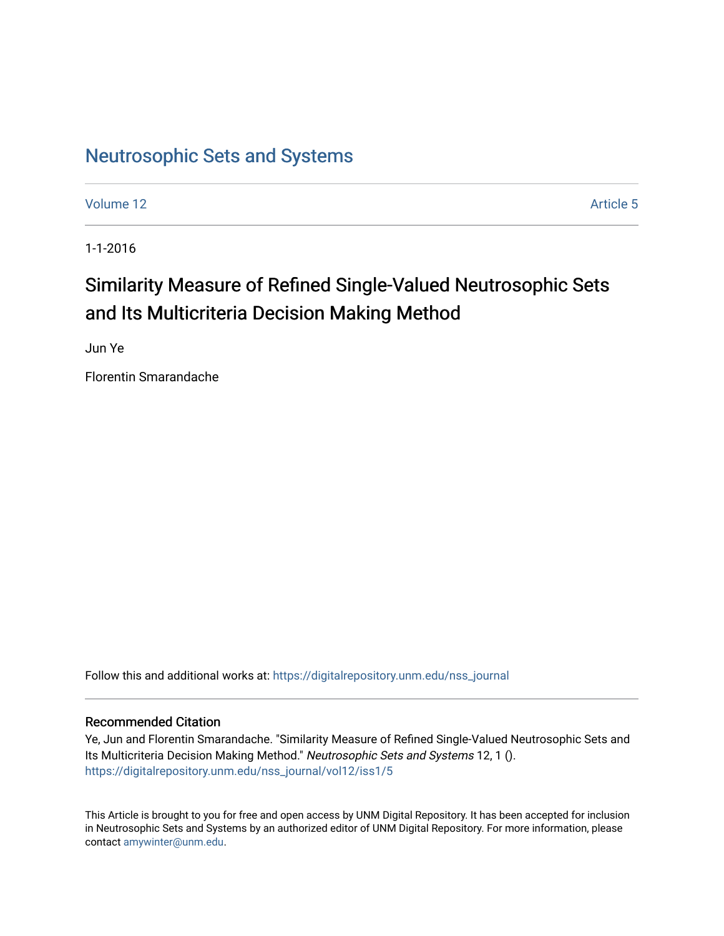# [Neutrosophic Sets and Systems](https://digitalrepository.unm.edu/nss_journal)

[Volume 12](https://digitalrepository.unm.edu/nss_journal/vol12) Article 5

1-1-2016

# Similarity Measure of Refined Single-Valued Neutrosophic Sets and Its Multicriteria Decision Making Method

Jun Ye

Florentin Smarandache

Follow this and additional works at: [https://digitalrepository.unm.edu/nss\\_journal](https://digitalrepository.unm.edu/nss_journal?utm_source=digitalrepository.unm.edu%2Fnss_journal%2Fvol12%2Fiss1%2F5&utm_medium=PDF&utm_campaign=PDFCoverPages) 

# Recommended Citation

Ye, Jun and Florentin Smarandache. "Similarity Measure of Refined Single-Valued Neutrosophic Sets and Its Multicriteria Decision Making Method." Neutrosophic Sets and Systems 12, 1 (). [https://digitalrepository.unm.edu/nss\\_journal/vol12/iss1/5](https://digitalrepository.unm.edu/nss_journal/vol12/iss1/5?utm_source=digitalrepository.unm.edu%2Fnss_journal%2Fvol12%2Fiss1%2F5&utm_medium=PDF&utm_campaign=PDFCoverPages)

This Article is brought to you for free and open access by UNM Digital Repository. It has been accepted for inclusion in Neutrosophic Sets and Systems by an authorized editor of UNM Digital Repository. For more information, please contact [amywinter@unm.edu](mailto:amywinter@unm.edu).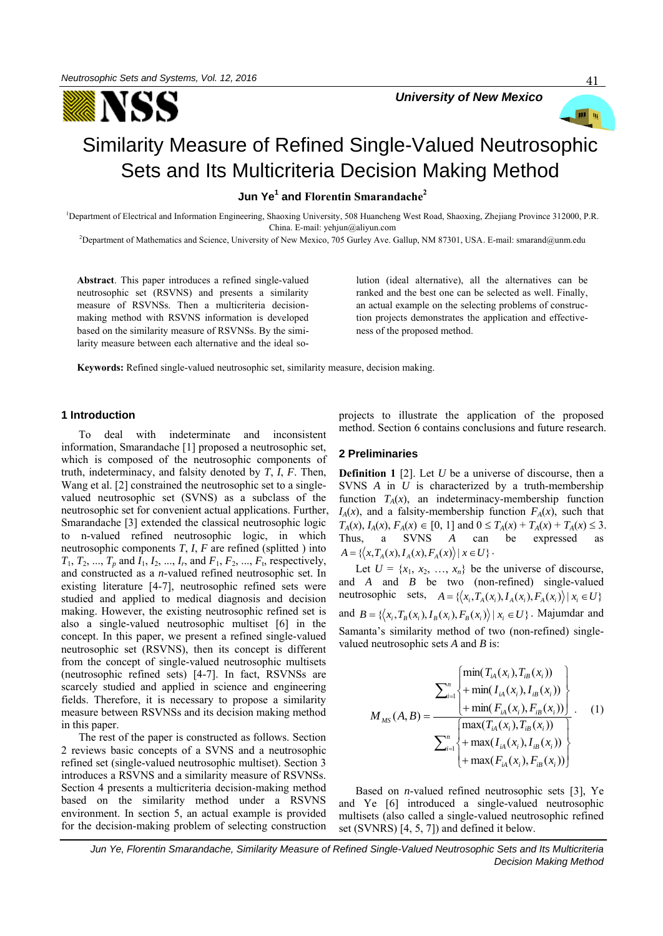



41

# Similarity Measure of Refined Single-Valued Neutrosophic Sets and Its Multicriteria Decision Making Method

**Jun Ye<sup>1</sup> and Florentin Smarandache<sup>2</sup>**

<sup>1</sup>Department of Electrical and Information Engineering, Shaoxing University, 508 Huancheng West Road, Shaoxing, Zhejiang Province 312000, P.R. China. E-mail: yehjun@aliyun.com

<sup>2</sup>Department of Mathematics and Science, University of New Mexico, 705 Gurley Ave. Gallup, NM 87301, USA. E-mail: smarand@unm.edu

**Abstract**. This paper introduces a refined single-valued neutrosophic set (RSVNS) and presents a similarity measure of RSVNSs. Then a multicriteria decisionmaking method with RSVNS information is developed based on the similarity measure of RSVNSs. By the similarity measure between each alternative and the ideal solution (ideal alternative), all the alternatives can be ranked and the best one can be selected as well. Finally, an actual example on the selecting problems of construction projects demonstrates the application and effectiveness of the proposed method.

**Keywords:** Refined single-valued neutrosophic set, similarity measure, decision making.

## **1 Introduction**

To deal with indeterminate and inconsistent information, Smarandache [1] proposed a neutrosophic set, which is composed of the neutrosophic components of truth, indeterminacy, and falsity denoted by *T*, *I*, *F*. Then, Wang et al. [2] constrained the neutrosophic set to a singlevalued neutrosophic set (SVNS) as a subclass of the neutrosophic set for convenient actual applications. Further, Smarandache [3] extended the classical neutrosophic logic to n-valued refined neutrosophic logic, in which neutrosophic components *T*, *I*, *F* are refined (splitted ) into *T*<sub>1</sub>, *T*<sub>2</sub>, ..., *T*<sub>*p*</sub> and *I*<sub>1</sub>, *I*<sub>2</sub>, ..., *I*<sub>*r*</sub>, and *F*<sub>1</sub>, *F*<sub>2</sub>, ..., *F*<sub>t</sub>, respectively, and constructed as a *n*-valued refined neutrosophic set. In existing literature [4-7], neutrosophic refined sets were studied and applied to medical diagnosis and decision making. However, the existing neutrosophic refined set is also a single-valued neutrosophic multiset [6] in the concept. In this paper, we present a refined single-valued neutrosophic set (RSVNS), then its concept is different from the concept of single-valued neutrosophic multisets (neutrosophic refined sets) [4-7]. In fact, RSVNSs are scarcely studied and applied in science and engineering fields. Therefore, it is necessary to propose a similarity measure between RSVNSs and its decision making method in this paper.

The rest of the paper is constructed as follows. Section 2 reviews basic concepts of a SVNS and a neutrosophic refined set (single-valued neutrosophic multiset). Section 3 introduces a RSVNS and a similarity measure of RSVNSs. Section 4 presents a multicriteria decision-making method based on the similarity method under a RSVNS environment. In section 5, an actual example is provided for the decision-making problem of selecting construction projects to illustrate the application of the proposed method. Section 6 contains conclusions and future research.

#### **2 Preliminaries**

**Definition 1** [2]. Let *U* be a universe of discourse, then a SVNS *A* in *U* is characterized by a truth-membership function  $T_A(x)$ , an indeterminacy-membership function  $I_A(x)$ , and a falsity-membership function  $F_A(x)$ , such that  $T_A(x)$ ,  $I_A(x)$ ,  $F_A(x) \in [0, 1]$  and  $0 \le T_A(x) + T_A(x) + T_A(x) \le 3$ . Thus, a SVNS *A* can be expressed as  $A = \left\{ \left\langle x, T_A(x), I_A(x), F_A(x) \right\rangle | x \in U \right\}.$ 

Let  $U = \{x_1, x_2, ..., x_n\}$  be the universe of discourse, and *A* and *B* be two (non-refined) single-valued neutrosophic sets,  $A = \{ (x_i, T_A(x_i), I_A(x_i), F_A(x_i)) | x_i \in U \}$ and  $B = \{ (x_i, T_B(x_i), I_B(x_i), F_B(x_i)) | x_i \in U \}$ . Majumdar and Samanta's similarity method of two (non-refined) singlevalued neutrosophic sets *A* and *B* is:

$$
M_{MS}(A,B) = \frac{\sum_{i=1}^{n} \left\{ \frac{\min(T_{iA}(x_i), T_{iB}(x_i))}{+ \min(T_{iA}(x_i), T_{iB}(x_i))} \right\}}{\sum_{i=1}^{n} \left\{ + \frac{\max(T_{iA}(x_i), T_{iB}(x_i))}{+ \max(T_{iA}(x_i), T_{iB}(x_i))} \right\}}.
$$
 (1)  
+ max $(I_{iA}(x_i), I_{iB}(x_i))$   
+ max $(F_{iA}(x_i), F_{iB}(x_i))$ 

Based on *n*-valued refined neutrosophic sets [3], Ye and Ye [6] introduced a single-valued neutrosophic multisets (also called a single-valued neutrosophic refined set (SVNRS) [4, 5, 7]) and defined it below.

*Jun Ye, Florentin Smarandache, Similarity Measure of Refined Single-Valued Neutrosophic Sets and Its Multicriteria Decision Making Method*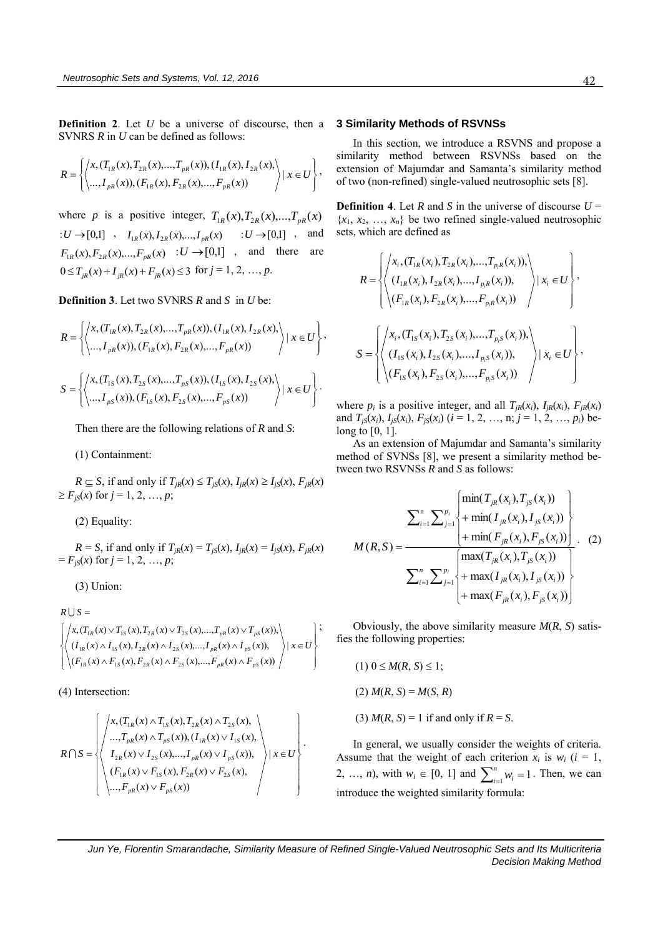**Definition 2**. Let *U* be a universe of discourse, then a SVNRS *R* in *U* can be defined as follows:

$$
R = \left\{ \left\langle x, (T_{1R}(x), T_{2R}(x), ..., T_{pR}(x)), (I_{1R}(x), I_{2R}(x),) \right\rangle | x \in U \right\},\newline R = \left\{ \left\langle ..., I_{pR}(x)), (F_{1R}(x), F_{2R}(x), ..., F_{pR}(x)) \right\rangle | x \in U \right\},\newline
$$

where *p* is a positive integer,  $T_{1R}(x), T_{2R}(x), \ldots, T_{pR}(x)$  $U \rightarrow [0,1]$  ,  $I_{1R}(x), I_{2R}(x),..., I_{pR}(x)$   $: U \rightarrow [0,1]$  , and  $F_{1R}(x), F_{2R}(x),...,F_{pR}(x) : U \rightarrow [0,1]$ , and there are  $0 \le T_{jR}(x) + I_{jR}(x) + F_{jR}(x) \le 3$  for  $j = 1, 2, ..., p$ .

**Definition 3**. Let two SVNRS *R* and *S* in *U* be:

$$
R = \left\{ \left\langle x, (T_{1R}(x), T_{2R}(x), ..., T_{pR}(x)), (I_{1R}(x), I_{2R}(x),) \atop \cdots, I_{pR}(x), (F_{1R}(x), F_{2R}(x), ..., F_{pR}(x)) \right\rangle | x \in U \right\},
$$
  

$$
S = \left\{ \left\langle x, (T_{1S}(x), T_{2S}(x), ..., T_{pS}(x)), (I_{1S}(x), I_{2S}(x),) \atop \cdots, I_{pS}(x), (F_{1S}(x), F_{2S}(x), ..., F_{pS}(x)) \right\rangle | x \in U \right\}.
$$

Then there are the following relations of *R* and *S*:

(1) Containment:

 $R \subseteq S$ , if and only if  $T_{iR}(x) \leq T_{iS}(x)$ ,  $I_{iR}(x) \geq I_{iS}(x)$ ,  $F_{iR}(x)$  $\geq F_{jS}(x)$  for  $j = 1, 2, ..., p$ ;

(2) Equality:

 $R = S$ , if and only if  $T_{iR}(x) = T_{iS}(x)$ ,  $I_{iR}(x) = I_{iS}(x)$ ,  $F_{iR}(x)$  $F_{jS}(x)$  for  $j = 1, 2, ..., p;$ 

(3) Union:

$$
R \cup S = \left\{ \left\langle x, (T_{1R}(x) \vee T_{1S}(x), T_{2R}(x) \vee T_{2S}(x), ..., T_{pR}(x) \vee T_{pS}(x)), \atop (I_{1R}(x) \wedge I_{1S}(x), I_{2R}(x) \wedge I_{2S}(x), ..., I_{pR}(x) \wedge I_{pS}(x)), \atop (F_{1R}(x) \wedge F_{1S}(x), F_{2R}(x) \wedge F_{2S}(x), ..., F_{pR}(x) \wedge F_{pS}(x)) \right\rangle | x \in U \right\} ;
$$

(4) Intersection:

$$
R \cap S = \left\{ \left\langle \begin{array}{l} x, (T_{1R}(x) \wedge T_{1S}(x), T_{2R}(x) \wedge T_{2S}(x), \\ ... , T_{pR}(x) \wedge T_{pS}(x)), (I_{1R}(x) \vee I_{1S}(x), \\ I_{2R}(x) \vee I_{2S}(x), ..., I_{pR}(x) \vee I_{pS}(x)), \\ (F_{1R}(x) \vee F_{1S}(x), F_{2R}(x) \vee F_{2S}(x), \\ ... , F_{pR}(x) \vee F_{pS}(x)) \end{array} \right\} | x \in U \right\}.
$$

#### **3 Similarity Methods of RSVNSs**

In this section, we introduce a RSVNS and propose a similarity method between RSVNSs based on the extension of Majumdar and Samanta's similarity method of two (non-refined) single-valued neutrosophic sets [8].

**Definition 4.** Let *R* and *S* in the universe of discourse  $U =$  ${x_1, x_2, ..., x_n}$  be two refined single-valued neutrosophic sets, which are defined as

$$
R = \left\{ \begin{pmatrix} x_{i}, (T_{1R}(x_{i}), T_{2R}(x_{i}), ..., T_{p_{i}R}(x_{i})), \\ (I_{1R}(x_{i}), I_{2R}(x_{i}), ..., I_{p_{i}R}(x_{i})), \\ (F_{1R}(x_{i}), F_{2R}(x_{i}), ..., F_{p_{i}R}(x_{i})) \end{pmatrix} | x_{i} \in U \right\},
$$
  

$$
S = \left\{ \begin{pmatrix} x_{i}, (T_{1S}(x_{i}), T_{2S}(x_{i}), ..., T_{p_{i}S}(x_{i})), \\ (I_{1S}(x_{i}), I_{2S}(x_{i}), ..., I_{p_{i}S}(x_{i})), \\ (F_{1S}(x_{i}), F_{2S}(x_{i}), ..., F_{p_{i}S}(x_{i})) \end{pmatrix} | x_{i} \in U \right\},
$$

where  $p_i$  is a positive integer, and all  $T_{jk}(x_i)$ ,  $I_{jk}(x_i)$ ,  $F_{jk}(x_i)$ and  $T_{jS}(x_i)$ ,  $I_{jS}(x_i)$ ,  $F_{jS}(x_i)$  ( $i = 1, 2, ..., n; j = 1, 2, ..., p_i$ ) belong to [0, 1].

As an extension of Majumdar and Samanta's similarity method of SVNSs [8], we present a similarity method between two RSVNSs *R* and *S* as follows:

$$
M(R, S) = \frac{\sum_{i=1}^{n} \sum_{j=1}^{p_i} \left\{ + \min(I_{jR}(x_i), I_{jS}(x_i)) + \min(F_{jR}(x_i), F_{jS}(x_i)) \right\}}{\sum_{i=1}^{n} \sum_{j=1}^{p_i} \left\{ + \max(I_{jR}(x_i), T_{jS}(x_i)) + \max(I_{jR}(x_i), I_{jS}(x_i)) + \max(F_{jR}(x_i), F_{jS}(x_i)) \right\}}.
$$
 (2)

Obviously, the above similarity measure *M*(*R*, *S*) satisfies the following properties:

 $(1)$   $0 \leq M(R, S) \leq 1$ ;  $(2)$  *M*(*R*, *S*) = *M*(*S*, *R*)

(3)  $M(R, S) = 1$  if and only if  $R = S$ .

In general, we usually consider the weights of criteria. Assume that the weight of each criterion  $x_i$  is  $w_i$  ( $i = 1$ , 2, ..., *n*), with  $w_i \in [0, 1]$  and  $\sum_{i=1}^{n} w_i =$  $w_i$ <sup>n</sup>
<sub>i=1</sub></sub> $w_i$  = 1. Then, we can introduce the weighted similarity formula:

 *Jun Ye, Florentin Smarandache, Similarity Measure of Refined Single-Valued Neutrosophic Sets and Its Multicriteria Decision Making Method*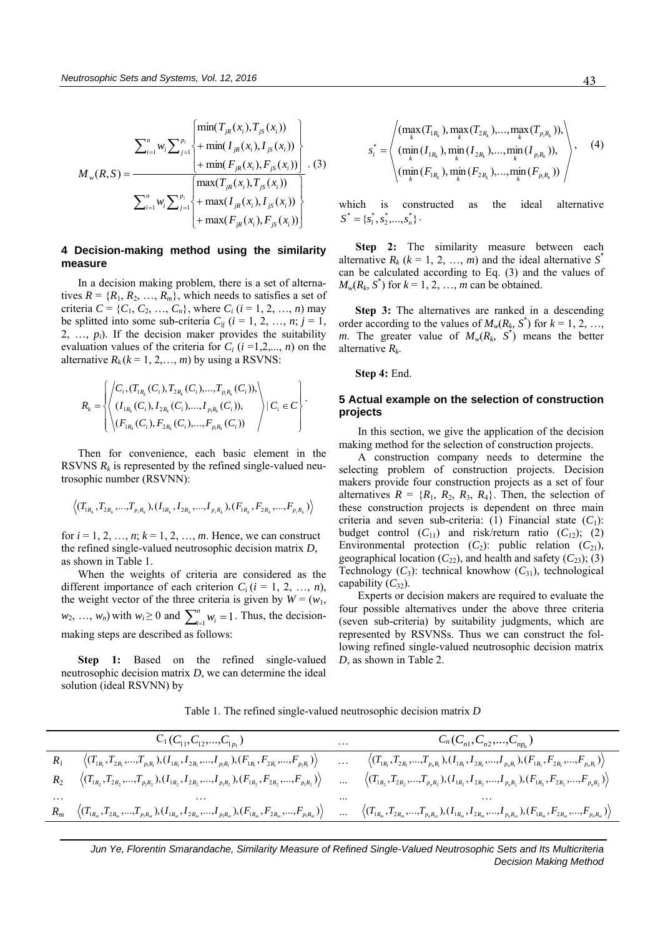$$
M_{w}(R,S) = \frac{\sum_{i=1}^{n} w_{i} \sum_{j=1}^{p_{i}} \left\{ + \min(I_{jk}(x_{i}), I_{js}(x_{i})) + \min(F_{jk}(x_{i}), F_{js}(x_{i})) \right\}}{\sum_{i=1}^{n} w_{i} \sum_{j=1}^{p_{i}} \left\{ + \max(I_{jk}(x_{i}), T_{js}(x_{i})) + \max(I_{jk}(x_{i}), I_{js}(x_{i})) \right\}} \cdot (3)
$$
\n
$$
+ \max(I_{jk}(x_{i}), I_{js}(x_{i})) + \max(F_{jk}(x_{i}), F_{js}(x_{i}))
$$

# **4 Decision-making method using the similarity measure**

In a decision making problem, there is a set of alternatives  $R = \{R_1, R_2, ..., R_m\}$ , which needs to satisfies a set of criteria  $C = \{C_1, C_2, ..., C_n\}$ , where  $C_i$  (*i* = 1, 2, …, *n*) may be splitted into some sub-criteria  $C_{ij}$  ( $i = 1, 2, ..., n; j = 1$ , 2, …, *pi*). If the decision maker provides the suitability evaluation values of the criteria for  $C_i$  ( $i = 1, 2, ..., n$ ) on the alternative  $R_k$  ( $k = 1, 2, \ldots, m$ ) by using a RSVNS:

$$
R_{k} = \left\{\left\langle \begin{matrix} C_{i}, (T_{1_{R_{k}}}(C_{i}), T_{2_{R_{k}}}(C_{i}),..., T_{p_{i}R_{k}}(C_{i})), \\ (I_{1_{R_{k}}}(C_{i}), I_{2_{R_{k}}}(C_{i}),..., I_{p_{i}R_{k}}(C_{i})), \\ (F_{1_{R_{k}}}(C_{i}), F_{2_{R_{k}}}(C_{i}),..., F_{p_{i}R_{k}}(C_{i})) \end{matrix} \right\rangle | C_{i} \in C \right\}.
$$

Then for convenience, each basic element in the RSVNS  $R_k$  is represented by the refined single-valued neutrosophic number (RSVNN):

$$
\left\langle(T_{1_{R_k}},T_{2_{R_k}},...,T_{p_iR_k}), (I_{1_{R_k}},I_{2_{R_k}},...,I_{p_iR_k}), (F_{1_{R_k}},F_{2_{R_k}},...,F_{p_iR_k})\right\rangle
$$

for  $i = 1, 2, ..., n$ ;  $k = 1, 2, ..., m$ . Hence, we can construct the refined single-valued neutrosophic decision matrix *D*, as shown in Table 1.

When the weights of criteria are considered as the different importance of each criterion  $C_i$  ( $i = 1, 2, ..., n$ ), the weight vector of the three criteria is given by  $W = (w_1,$  $w_2, ..., w_n$ ) with  $w_i \ge 0$  and  $\sum_{i=1}^n w_i =$  $w_i$ <sup>n</sup>
<sub>*i*=1</sub>. Thus, the decisionmaking steps are described as follows:

**Step 1:** Based on the refined single-valued neutrosophic decision matrix *D*, we can determine the ideal solution (ideal RSVNN) by

$$
s_i^* = \left\langle \frac{(\max_k(T_{1_{R_k}}), \max_k(T_{2_{R_k}}), ..., \max_k(T_{p_i_{R_k}})),}{(\min_k(I_{1_{R_k}}), \min_k(I_{2_{R_k}}), ..., \min_k(I_{p_i_{R_k}})),}, \atop (\min_k(F_{1_{R_k}}), \min_k(F_{2_{R_k}}), ..., \min_k(F_{p_i_{R_k}})) \right\rangle,
$$
(4)

which is constructed as the ideal alternative  $S^* = \{s_1^*, s_2^*, \ldots, s_n^*\}$ .

**Step 2:** The similarity measure between each alternative  $R_k$  ( $k = 1, 2, ..., m$ ) and the ideal alternative  $S^*$ can be calculated according to Eq. (3) and the values of  $M_w(R_k, S^*)$  for  $k = 1, 2, ..., m$  can be obtained.

**Step 3:** The alternatives are ranked in a descending order according to the values of  $M_w(R_k, S^*)$  for  $k = 1, 2, ...$ *m*. The greater value of  $M_w(R_k, S^*)$  means the better alternative *R<sup>k</sup>* .

**Step 4:** End.

## **5 Actual example on the selection of construction projects**

In this section, we give the application of the decision making method for the selection of construction projects.

A construction company needs to determine the selecting problem of construction projects. Decision makers provide four construction projects as a set of four alternatives  $R = \{R_1, R_2, R_3, R_4\}$ . Then, the selection of these construction projects is dependent on three main criteria and seven sub-criteria: (1) Financial state  $(C_1)$ : budget control  $(C_{11})$  and risk/return ratio  $(C_{12})$ ; (2) Environmental protection  $(C_2)$ : public relation  $(C_{21})$ , geographical location  $(C_{22})$ , and health and safety  $(C_{23})$ ; (3) Technology  $(C_3)$ : technical knowhow  $(C_{31})$ , technological capability  $(C_{32})$ .

Experts or decision makers are required to evaluate the four possible alternatives under the above three criteria (seven sub-criteria) by suitability judgments, which are represented by RSVNSs. Thus we can construct the following refined single-valued neutrosophic decision matrix *D*, as shown in Table 2.

Table 1. The refined single-valued neutrosophic decision matrix *D* 

|          | $C_1(C_{11}, C_{12},, C_{1n_1})$                                                                                                                                                                                                                                                                                              | $\cdots$ | $C_n(C_{n1}, C_{n2},, C_{np_n})$                                                                                                   |
|----------|-------------------------------------------------------------------------------------------------------------------------------------------------------------------------------------------------------------------------------------------------------------------------------------------------------------------------------|----------|------------------------------------------------------------------------------------------------------------------------------------|
|          | $\left\langle(T_{1_{R_1}},T_{2_{R_1}},,T_{P_1_{R_1}}),(I_{1_{R_1}},I_{2_{R_1}},,I_{P_1_{R_1}}),(F_{1_{R_1}},F_{2_{R_1}},,F_{P_1_{R_1}})\right\rangle$                                                                                                                                                                         | $\cdots$ | $\langle (T_{1_{R_1}},T_{2_{R_1}},,T_{P_nR_1}),(I_{1_{R_1}},I_{2_{R_1}},,I_{P_nR_n}),(F_{1_{R_1}},F_{2_{R_1}},,F_{P_nR_n})\rangle$ |
|          | $\langle (T_{1R_2}, T_{2R_2},, T_{P_1R_2}), (I_{1R_2}, I_{2R_2},, I_{P_1R_2}), (F_{1R_2}, F_{2R_2},, F_{P_1R_2}) \rangle$                                                                                                                                                                                                     | $\ddots$ | $\langle (T_{1R_2},T_{2R_2},,T_{P_nR_2}),(I_{1R_2},I_{2R_2},,I_{P_nR_2}),(F_{1R_2},F_{2R_2},,F_{P_nR_2})\rangle$                   |
| $\cdots$ |                                                                                                                                                                                                                                                                                                                               |          |                                                                                                                                    |
|          | $\left\langle (T_{1_{R_m}},T_{2_{R_m}},,T_{p_1_{R_m}}),(I_{1_{R_m}},I_{2_{R_m}},,I_{p_1_{R_m}}),(F_{1_{R_m}},F_{2_{R_m}},,F_{p_1_{R_m}})\right\rangle \quad \dots \quad \left\langle (T_{1_{R_m}},T_{2_{R_m}},,T_{p_n_{R_m}}),(I_{1_{R_m}},I_{2_{R_m}},,I_{p_n_{R_m}}),(F_{1_{R_m}},F_{2_{R_m}},,F_{p_n_{R_m}})\right\rangle$ |          |                                                                                                                                    |

 *Jun Ye, Florentin Smarandache, Similarity Measure of Refined Single-Valued Neutrosophic Sets and Its Multicriteria Decision Making Method*